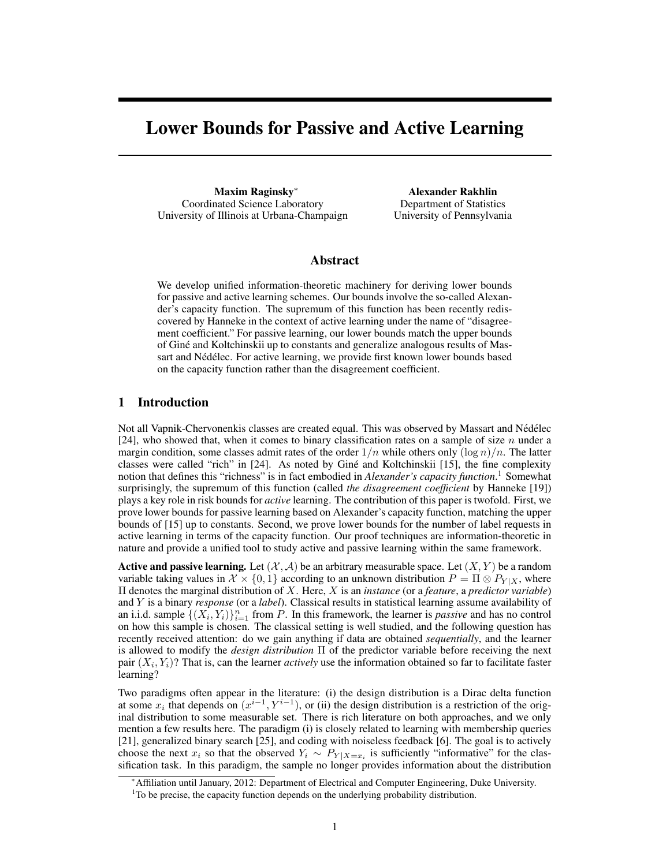# Lower Bounds for Passive and Active Learning

Maxim Raginsky<sup>∗</sup> Coordinated Science Laboratory University of Illinois at Urbana-Champaign

Alexander Rakhlin Department of Statistics University of Pennsylvania

#### Abstract

We develop unified information-theoretic machinery for deriving lower bounds for passive and active learning schemes. Our bounds involve the so-called Alexander's capacity function. The supremum of this function has been recently rediscovered by Hanneke in the context of active learning under the name of "disagreement coefficient." For passive learning, our lower bounds match the upper bounds of Gine and Koltchinskii up to constants and generalize analogous results of Mas- ´ sart and Nédélec. For active learning, we provide first known lower bounds based on the capacity function rather than the disagreement coefficient.

# 1 Introduction

Not all Vapnik-Chervonenkis classes are created equal. This was observed by Massart and Nédélec [24], who showed that, when it comes to binary classification rates on a sample of size  $n$  under a margin condition, some classes admit rates of the order  $1/n$  while others only  $(\log n)/n$ . The latter classes were called "rich" in  $[24]$ . As noted by Giné and Koltchinskii  $[15]$ , the fine complexity notion that defines this "richness" is in fact embodied in *Alexander's capacity function*. <sup>1</sup> Somewhat surprisingly, the supremum of this function (called *the disagreement coefficient* by Hanneke [19]) plays a key role in risk bounds for *active* learning. The contribution of this paper is twofold. First, we prove lower bounds for passive learning based on Alexander's capacity function, matching the upper bounds of [15] up to constants. Second, we prove lower bounds for the number of label requests in active learning in terms of the capacity function. Our proof techniques are information-theoretic in nature and provide a unified tool to study active and passive learning within the same framework.

**Active and passive learning.** Let  $(\mathcal{X}, \mathcal{A})$  be an arbitrary measurable space. Let  $(X, Y)$  be a random variable taking values in  $\mathcal{X} \times \{0,1\}$  according to an unknown distribution  $P = \Pi \otimes P_{Y|X}$ , where Π denotes the marginal distribution of X. Here, X is an *instance* (or a *feature*, a *predictor variable*) and Y is a binary *response* (or a *label*). Classical results in statistical learning assume availability of an i.i.d. sample  $\{(X_i, Y_i)\}_{i=1}^n$  from P. In this framework, the learner is *passive* and has no control on how this sample is chosen. The classical setting is well studied, and the following question has recently received attention: do we gain anything if data are obtained *sequentially*, and the learner is allowed to modify the *design distribution* Π of the predictor variable before receiving the next pair  $(X_i, Y_i)$ ? That is, can the learner *actively* use the information obtained so far to facilitate faster learning?

Two paradigms often appear in the literature: (i) the design distribution is a Dirac delta function at some  $x_i$  that depends on  $(x^{i-1}, Y^{i-1})$ , or (ii) the design distribution is a restriction of the original distribution to some measurable set. There is rich literature on both approaches, and we only mention a few results here. The paradigm (i) is closely related to learning with membership queries [21], generalized binary search [25], and coding with noiseless feedback [6]. The goal is to actively choose the next  $x_i$  so that the observed  $Y_i \sim P_{Y|X=x_i}$  is sufficiently "informative" for the classification task. In this paradigm, the sample no longer provides information about the distribution

<sup>∗</sup>Affiliation until January, 2012: Department of Electrical and Computer Engineering, Duke University. <sup>1</sup>To be precise, the capacity function depends on the underlying probability distribution.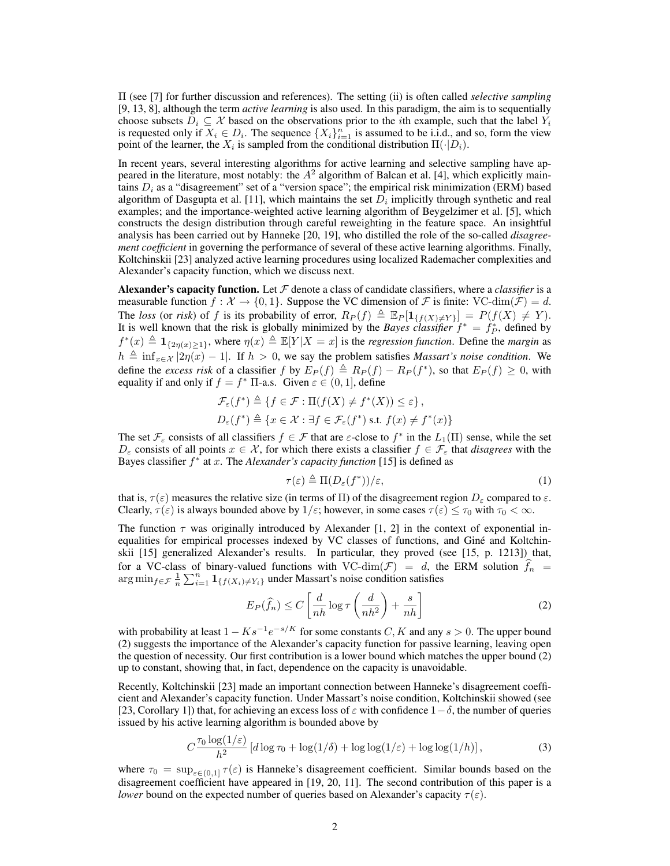Π (see [7] for further discussion and references). The setting (ii) is often called *selective sampling* [9, 13, 8], although the term *active learning* is also used. In this paradigm, the aim is to sequentially choose subsets  $D_i \subseteq \mathcal{X}$  based on the observations prior to the *i*th example, such that the label  $Y_i$ is requested only if  $X_i \in D_i$ . The sequence  $\{X_i\}_{i=1}^n$  is assumed to be i.i.d., and so, form the view point of the learner, the  $X_i$  is sampled from the conditional distribution  $\Pi(\cdot|D_i)$ .

In recent years, several interesting algorithms for active learning and selective sampling have appeared in the literature, most notably: the  $A^2$  algorithm of Balcan et al. [4], which explicitly maintains  $D_i$  as a "disagreement" set of a "version space"; the empirical risk minimization (ERM) based algorithm of Dasgupta et al. [11], which maintains the set  $D_i$  implicitly through synthetic and real examples; and the importance-weighted active learning algorithm of Beygelzimer et al. [5], which constructs the design distribution through careful reweighting in the feature space. An insightful analysis has been carried out by Hanneke [20, 19], who distilled the role of the so-called *disagreement coefficient* in governing the performance of several of these active learning algorithms. Finally, Koltchinskii [23] analyzed active learning procedures using localized Rademacher complexities and Alexander's capacity function, which we discuss next.

**Alexander's capacity function.** Let  $F$  denote a class of candidate classifiers, where a *classifier* is a measurable function  $f : \mathcal{X} \to \{0, 1\}$ . Suppose the VC dimension of F is finite: VC-dim $(\mathcal{F}) = d$ . The *loss* (or *risk*) of f is its probability of error,  $R_P(f) \triangleq \mathbb{E}_P[\mathbf{1}_{\{f(X)\neq Y\}}] = P(f(X) \neq Y)$ . It is well known that the risk is globally minimized by the *Bayes classifier*  $f^* = f^*_{P}$ , defined by  $f^*(x) \triangleq \mathbf{1}_{\{2\eta(x)\geq 1\}}$ , where  $\eta(x) \triangleq \mathbb{E}[Y|X=x]$  is the *regression function*. Define the *margin* as  $h \triangleq \inf_{x \in \mathcal{X}} |2\eta(x) - 1|$ . If  $h > 0$ , we say the problem satisfies *Massart's noise condition*. We define the *excess risk* of a classifier f by  $E_P(f) \triangleq R_P(f) - R_P(f^*)$ , so that  $E_P(f) \geq 0$ , with equality if and only if  $f = f^* \Pi$ -a.s. Given  $\varepsilon \in (0, 1]$ , define

$$
\mathcal{F}_{\varepsilon}(f^*) \triangleq \{ f \in \mathcal{F} : \Pi(f(X) \neq f^*(X)) \leq \varepsilon \},
$$
  

$$
D_{\varepsilon}(f^*) \triangleq \{ x \in \mathcal{X} : \exists f \in \mathcal{F}_{\varepsilon}(f^*) \text{ s.t. } f(x) \neq f^*(x) \}
$$

The set  $\mathcal{F}_{\varepsilon}$  consists of all classifiers  $f \in \mathcal{F}$  that are  $\varepsilon$ -close to  $f^*$  in the  $L_1(\Pi)$  sense, while the set  $D_{\varepsilon}$  consists of all points  $x \in \mathcal{X}$ , for which there exists a classifier  $f \in \mathcal{F}_{\varepsilon}$  that *disagrees* with the Bayes classifier  $f^*$  at x. The *Alexander's capacity function* [15] is defined as

$$
\tau(\varepsilon) \triangleq \Pi(D_{\varepsilon}(f^*))/\varepsilon,\tag{1}
$$

that is,  $\tau(\varepsilon)$  measures the relative size (in terms of Π) of the disagreement region  $D_{\varepsilon}$  compared to  $\varepsilon$ . Clearly,  $\tau(\varepsilon)$  is always bounded above by  $1/\varepsilon$ ; however, in some cases  $\tau(\varepsilon) \leq \tau_0$  with  $\tau_0 < \infty$ .

The function  $\tau$  was originally introduced by Alexander [1, 2] in the context of exponential inequalities for empirical processes indexed by VC classes of functions, and Giné and Koltchinskii [15] generalized Alexander's results. In particular, they proved (see [15, p. 1213]) that, for a VC-class of binary-valued functions with VC-dim( $\mathcal{F}$ ) = d, the ERM solution  $f_n$  =  $\arg \min_{f \in \mathcal{F}} \frac{1}{n} \sum_{i=1}^n \mathbf{1}_{\{f(X_i) \neq Y_i\}}$  under Massart's noise condition satisfies

$$
E_P(\widehat{f}_n) \le C \left[ \frac{d}{nh} \log \tau \left( \frac{d}{nh^2} \right) + \frac{s}{nh} \right]
$$
 (2)

with probability at least  $1 - Ks^{-1}e^{-s/K}$  for some constants  $C, K$  and any  $s > 0$ . The upper bound (2) suggests the importance of the Alexander's capacity function for passive learning, leaving open the question of necessity. Our first contribution is a lower bound which matches the upper bound (2) up to constant, showing that, in fact, dependence on the capacity is unavoidable.

Recently, Koltchinskii [23] made an important connection between Hanneke's disagreement coefficient and Alexander's capacity function. Under Massart's noise condition, Koltchinskii showed (see [23, Corollary 1]) that, for achieving an excess loss of  $\varepsilon$  with confidence  $1-\delta$ , the number of queries issued by his active learning algorithm is bounded above by

$$
C \frac{\tau_0 \log(1/\varepsilon)}{h^2} \left[ d \log \tau_0 + \log(1/\delta) + \log \log(1/\varepsilon) + \log \log(1/h) \right],\tag{3}
$$

where  $\tau_0 = \sup_{\varepsilon \in (0,1]} \tau(\varepsilon)$  is Hanneke's disagreement coefficient. Similar bounds based on the disagreement coefficient have appeared in [19, 20, 11]. The second contribution of this paper is a *lower* bound on the expected number of queries based on Alexander's capacity  $\tau(\varepsilon)$ .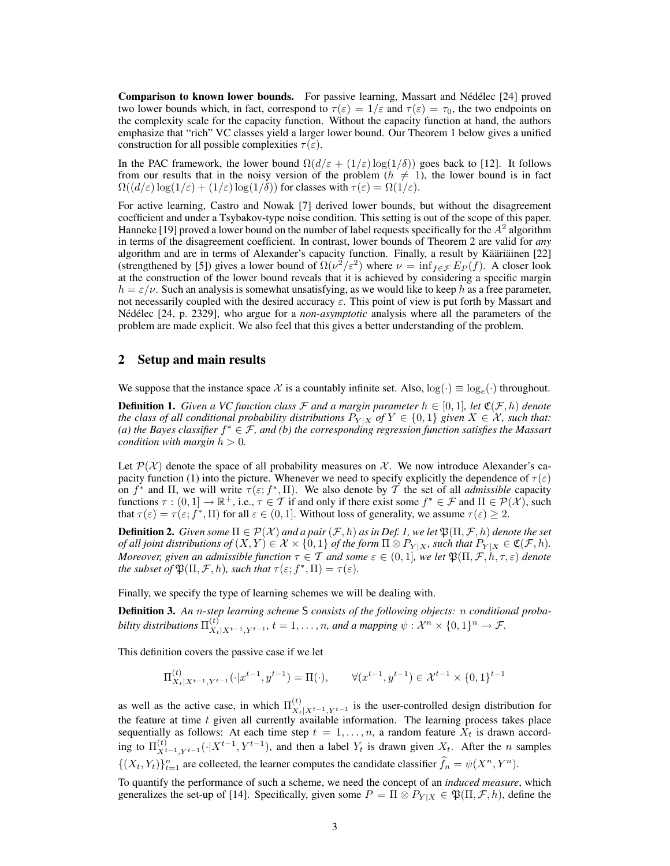Comparison to known lower bounds. For passive learning, Massart and Nédélec [24] proved two lower bounds which, in fact, correspond to  $\tau(\varepsilon) = 1/\varepsilon$  and  $\tau(\varepsilon) = \tau_0$ , the two endpoints on the complexity scale for the capacity function. Without the capacity function at hand, the authors emphasize that "rich" VC classes yield a larger lower bound. Our Theorem 1 below gives a unified construction for all possible complexities  $\tau(\varepsilon)$ .

In the PAC framework, the lower bound  $\Omega(d/\varepsilon + (1/\varepsilon) \log(1/\delta))$  goes back to [12]. It follows from our results that in the noisy version of the problem ( $h \neq 1$ ), the lower bound is in fact  $\Omega((d/\varepsilon)\log(1/\varepsilon) + (1/\varepsilon)\log(1/\delta))$  for classes with  $\tau(\varepsilon) = \Omega(1/\varepsilon)$ .

For active learning, Castro and Nowak [7] derived lower bounds, but without the disagreement coefficient and under a Tsybakov-type noise condition. This setting is out of the scope of this paper. Hanneke [19] proved a lower bound on the number of label requests specifically for the  $A^2$  algorithm in terms of the disagreement coefficient. In contrast, lower bounds of Theorem 2 are valid for *any* algorithm and are in terms of Alexander's capacity function. Finally, a result by Kääriäinen [22] (strengthened by [5]) gives a lower bound of  $\Omega(\nu^2/\varepsilon^2)$  where  $\nu = \inf_{f \in \mathcal{F}} E_P(f)$ . A closer look at the construction of the lower bound reveals that it is achieved by considering a specific margin  $h = \varepsilon/\nu$ . Such an analysis is somewhat unsatisfying, as we would like to keep h as a free parameter, not necessarily coupled with the desired accuracy  $\varepsilon$ . This point of view is put forth by Massart and Nédélec [24, p. 2329], who argue for a *non-asymptotic* analysis where all the parameters of the problem are made explicit. We also feel that this gives a better understanding of the problem.

### 2 Setup and main results

We suppose that the instance space X is a countably infinite set. Also,  $log(\cdot) \equiv log_e(\cdot)$  throughout.

**Definition 1.** Given a VC function class  $\mathcal F$  and a margin parameter  $h \in [0,1]$ , let  $\mathfrak C(\mathcal F,h)$  denote *the class of all conditional probability distributions*  $P_{Y|X}$  *of*  $Y \in \{0,1\}$  *given*  $X \in \mathcal{X}$ *, such that: (a) the Bayes classifier* f <sup>∗</sup> ∈ F*, and (b) the corresponding regression function satisfies the Massart condition with margin*  $h > 0$ *.* 

Let  $\mathcal{P}(\mathcal{X})$  denote the space of all probability measures on X. We now introduce Alexander's capacity function (1) into the picture. Whenever we need to specify explicitly the dependence of  $\tau(\varepsilon)$ on  $f^*$  and  $\Pi$ , we will write  $\tau(\varepsilon; f^*, \Pi)$ . We also denote by  $\tilde{T}$  the set of all *admissible* capacity functions  $\tau : (0,1] \to \mathbb{R}^+$ , i.e.,  $\tau \in \mathcal{T}$  if and only if there exist some  $f^* \in \mathcal{F}$  and  $\Pi \in \mathcal{P}(\mathcal{X})$ , such that  $\tau(\varepsilon) = \tau(\varepsilon; f^*, \Pi)$  for all  $\varepsilon \in (0, 1]$ . Without loss of generality, we assume  $\tau(\varepsilon) \geq 2$ .

**Definition 2.** *Given some*  $\Pi \in \mathcal{P}(\mathcal{X})$  *and a pair*  $(\mathcal{F}, h)$  *as in Def. 1, we let*  $\mathfrak{P}(\Pi, \mathcal{F}, h)$  *denote the set of all joint distributions of*  $(X, Y) \in \mathcal{X} \times \{0, 1\}$  *of the form*  $\Pi \otimes P_{Y|X}$ *, such that*  $P_{Y|X} \in \mathfrak{C}(\mathcal{F}, h)$ *. Moreover, given an admissible function*  $\tau \in \mathcal{T}$  *and some*  $\varepsilon \in (0,1]$ *, we let*  $\mathfrak{P}(\Pi,\mathcal{F},h,\tau,\varepsilon)$  *denote the subset of*  $\mathfrak{P}(\Pi, \mathcal{F}, h)$ *, such that*  $\tau(\varepsilon; f^*, \Pi) = \tau(\varepsilon)$ *.* 

Finally, we specify the type of learning schemes we will be dealing with.

Definition 3. *An* n*-step learning scheme* S *consists of the following objects:* n *conditional probability distributions*  $\Pi_{X_t|X^{t-1},Y^{t-1}}^{(t)}$ ,  $t = 1, ..., n$ , and a mapping  $\psi: \mathcal{X}^n \times \{0,1\}^n \to \mathcal{F}$ .

This definition covers the passive case if we let

$$
\Pi_{X_t|X^{t-1},Y^{t-1}}^{(t)}(\cdot|x^{t-1},y^{t-1}) = \Pi(\cdot), \qquad \forall (x^{t-1},y^{t-1}) \in \mathcal{X}^{t-1} \times \{0,1\}^{t-1}
$$

as well as the active case, in which  $\Pi_{X_t|X^{t-1},Y^{t-1}}^{(t)}$  is the user-controlled design distribution for the feature at time  $t$  given all currently available information. The learning process takes place sequentially as follows: At each time step  $t = 1, \ldots, n$ , a random feature  $X_t$  is drawn according to  $\Pi_{X^{t-1},Y^{t-1}}^{(t)}(\cdot|X^{t-1},Y^{t-1})$ , and then a label  $Y_t$  is drawn given  $X_t$ . After the *n* samples  $\{(X_t, Y_t)\}_{t=1}^n$  are collected, the learner computes the candidate classifier  $\hat{f}_n = \psi(X^n, Y^n)$ .

To quantify the performance of such a scheme, we need the concept of an *induced measure*, which generalizes the set-up of [14]. Specifically, given some  $P = \Pi \otimes P_{Y|X} \in \mathfrak{P}(\Pi, \mathcal{F}, h)$ , define the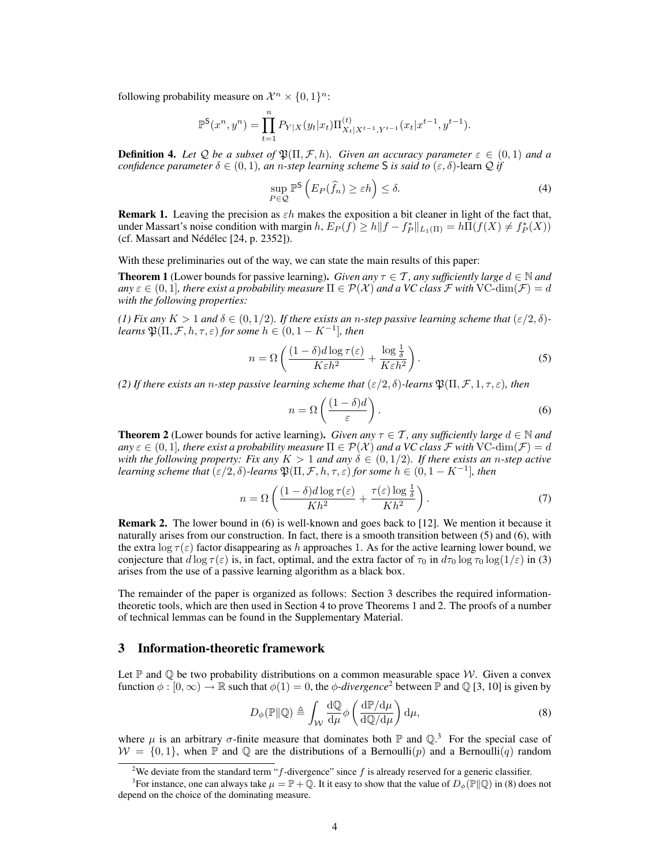following probability measure on  $\mathcal{X}^n \times \{0,1\}^n$ :

$$
\mathbb{P}^{\sf S}(x^n,y^n)=\prod_{t=1}^n P_{Y|X}(y_t|x_t)\Pi_{X_t|X^{t-1},Y^{t-1}}^{(t)}(x_t|x^{t-1},y^{t-1}).
$$

**Definition 4.** Let Q be a subset of  $\mathfrak{P}(\Pi, \mathcal{F}, h)$ . Given an accuracy parameter  $\varepsilon \in (0,1)$  and a *confidence parameter*  $\delta \in (0, 1)$ *, an n-step learning scheme* S *is said to*  $(\epsilon, \delta)$ -learn  $\mathcal Q$  *if* 

$$
\sup_{P \in \mathcal{Q}} \mathbb{P}^{\mathsf{S}}\left(E_{P}(\hat{f}_{n}) \geq \varepsilon h\right) \leq \delta. \tag{4}
$$

**Remark 1.** Leaving the precision as  $\varepsilon h$  makes the exposition a bit cleaner in light of the fact that, under Massart's noise condition with margin  $h$ ,  $E_P(f) \ge h ||f - f_P^*||_{L_1(\Pi)} = h \overline{\Pi}(f(X) \ne f_P^*(X))$  $(cf. Massart and Nédélec [24, p. 2352]).$ 

With these preliminaries out of the way, we can state the main results of this paper:

**Theorem 1** (Lower bounds for passive learning). *Given any*  $\tau \in \mathcal{T}$ , *any sufficiently large*  $d \in \mathbb{N}$  *and*  $a_n y \in \mathcal{F}$  (0, 1)*, there exist a probability measure*  $\Pi \in \mathcal{P}(\mathcal{X})$  *and a VC class*  $\mathcal F$  *with* VC-dim( $\mathcal F$ ) = d *with the following properties:*

*(1) Fix any*  $K > 1$  *and*  $\delta \in (0, 1/2)$ *. If there exists an n-step passive learning scheme that*  $(\epsilon/2, \delta)$ *learns*  $\mathfrak{P}(\Pi, \mathcal{F}, h, \tau, \varepsilon)$  *for some*  $h \in (0, 1 - K^{-1}]$ *, then* 

$$
n = \Omega \left( \frac{(1 - \delta)d \log \tau(\varepsilon)}{K \varepsilon h^2} + \frac{\log \frac{1}{\delta}}{K \varepsilon h^2} \right).
$$
 (5)

*(2) If there exists an n-step passive learning scheme that*  $(\varepsilon/2, \delta)$ *-learns*  $\mathfrak{P}(\Pi, \mathcal{F}, 1, \tau, \varepsilon)$ *, then* 

$$
n = \Omega\left(\frac{(1-\delta)d}{\varepsilon}\right). \tag{6}
$$

**Theorem 2** (Lower bounds for active learning). *Given any*  $\tau \in \mathcal{T}$ , any sufficiently large  $d \in \mathbb{N}$  and  $an\chi \in (0, 1]$ , there exist a probability measure  $\Pi \in \mathcal{P}(\mathcal{X})$  and a VC class  $\mathcal F$  with VC-dim( $\mathcal F) = d$ *with the following property: Fix any*  $K > 1$  *and any*  $\delta \in (0, 1/2)$ *. If there exists an n-step active learning scheme that*  $(\varepsilon/2, \delta)$ -learns  $\mathfrak{P}(\Pi, \mathcal{F}, h, \tau, \varepsilon)$  for some  $h \in (0, 1 - K^{-1}]$ , then

$$
n = \Omega \left( \frac{(1 - \delta)d \log \tau(\varepsilon)}{Kh^2} + \frac{\tau(\varepsilon) \log \frac{1}{\delta}}{Kh^2} \right). \tag{7}
$$

Remark 2. The lower bound in (6) is well-known and goes back to [12]. We mention it because it naturally arises from our construction. In fact, there is a smooth transition between (5) and (6), with the extra log  $\tau(\varepsilon)$  factor disappearing as h approaches 1. As for the active learning lower bound, we conjecture that  $d \log \tau(\varepsilon)$  is, in fact, optimal, and the extra factor of  $\tau_0$  in  $d\tau_0 \log \tau_0 \log(1/\varepsilon)$  in (3) arises from the use of a passive learning algorithm as a black box.

The remainder of the paper is organized as follows: Section 3 describes the required informationtheoretic tools, which are then used in Section 4 to prove Theorems 1 and 2. The proofs of a number of technical lemmas can be found in the Supplementary Material.

### 3 Information-theoretic framework

Let  $\mathbb P$  and  $\mathbb Q$  be two probability distributions on a common measurable space W. Given a convex function  $\phi : [0, \infty) \to \mathbb{R}$  such that  $\phi(1) = 0$ , the  $\phi$ -divergence<sup>2</sup> between  $\mathbb{P}$  and  $\mathbb{Q}$  [3, 10] is given by

$$
D_{\phi}(\mathbb{P} \| \mathbb{Q}) \triangleq \int_{\mathcal{W}} \frac{\mathrm{d}\mathbb{Q}}{\mathrm{d}\mu} \phi \left( \frac{\mathrm{d}\mathbb{P}/\mathrm{d}\mu}{\mathrm{d}\mathbb{Q}/\mathrm{d}\mu} \right) \mathrm{d}\mu, \tag{8}
$$

where  $\mu$  is an arbitrary  $\sigma$ -finite measure that dominates both  $\mathbb P$  and  $\mathbb Q$ .<sup>3</sup> For the special case of  $W = \{0, 1\}$ , when  $\mathbb P$  and  $\mathbb Q$  are the distributions of a Bernoulli(p) and a Bernoulli(q) random

<sup>&</sup>lt;sup>2</sup>We deviate from the standard term "f-divergence" since f is already reserved for a generic classifier.

<sup>&</sup>lt;sup>3</sup> For instance, one can always take  $\mu = \mathbb{P} + \mathbb{Q}$ . It it easy to show that the value of  $D_{\phi}(\mathbb{P} \| \mathbb{Q})$  in (8) does not depend on the choice of the dominating measure.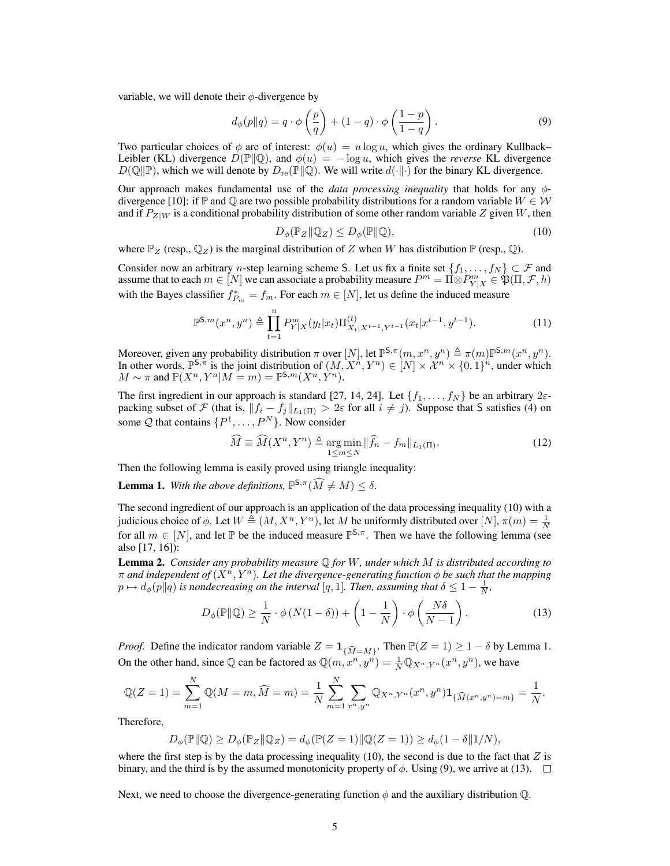variable, we will denote their  $\phi$ -divergence by

$$
d_{\phi}(p||q) = q \cdot \phi\left(\frac{p}{q}\right) + (1-q) \cdot \phi\left(\frac{1-p}{1-q}\right). \tag{9}
$$

Two particular choices of  $\phi$  are of interest:  $\phi(u) = u \log u$ , which gives the ordinary Kullback– Leibler (KL) divergence  $D(\mathbb{P} \| \mathbb{Q})$ , and  $\phi(u) = -\log u$ , which gives the *reverse* KL divergence  $D(\mathbb{Q} \Vert \mathbb{P})$ , which we will denote by  $D_{\text{re}}(\mathbb{P} \Vert \mathbb{Q})$ . We will write  $d(\cdot \Vert \cdot)$  for the binary KL divergence.

Our approach makes fundamental use of the *data processing inequality* that holds for any φdivergence [10]: if  $\mathbb P$  and  $\mathbb Q$  are two possible probability distributions for a random variable  $W \in \mathcal W$ and if  $P_{Z|W}$  is a conditional probability distribution of some other random variable Z given W, then

$$
D_{\phi}(\mathbb{P}_Z \| \mathbb{Q}_Z) \le D_{\phi}(\mathbb{P} \| \mathbb{Q}),\tag{10}
$$

where  $\mathbb{P}_Z$  (resp.,  $\mathbb{Q}_Z$ ) is the marginal distribution of Z when W has distribution  $\mathbb{P}$  (resp.,  $\mathbb{Q}$ ).

Consider now an arbitrary *n*-step learning scheme S. Let us fix a finite set  $\{f_1, \ldots, f_N\} \subset \mathcal{F}$  and assume that to each  $m \in [N]$  we can associate a probability measure  $P^m = \Pi \otimes P^m_{Y|X} \in \mathfrak{P}(\Pi, \mathcal{F}, h)$ with the Bayes classifier  $f_{P_m}^* = f_m$ . For each  $m \in [N]$ , let us define the induced measure

$$
\mathbb{P}^{S,m}(x^n, y^n) \triangleq \prod_{t=1}^n P_{Y|X}^m(y_t|x_t) \Pi_{X_t|X^{t-1}, Y^{t-1}}^{(t)}(x_t|x^{t-1}, y^{t-1}). \tag{11}
$$

Moreover, given any probability distribution  $\pi$  over  $[N]$ , let  $\mathbb{P}^{\mathsf{S},\pi}(m,x^n,y^n) \triangleq \pi(m)\mathbb{P}^{\mathsf{S},m}(x^n,y^n)$ . In other words,  $\mathbb{P}^{5,\pi}$  is the joint distribution of  $(M, X^n, Y^n) \in [N] \times \mathbb{X}^n \times \{0,1\}^n$ , under which  $M \sim \pi$  and  $\mathbb{P}(X^n, Y^n | M = m) = \mathbb{P}^{\mathsf{S},m}(X^n, \hat{Y}^n).$ 

The first ingredient in our approach is standard [27, 14, 24]. Let  $\{f_1, \ldots, f_N\}$  be an arbitrary  $2\varepsilon$ packing subset of F (that is,  $||f_i - f_j||_{L_1(\Pi)} > 2\varepsilon$  for all  $i \neq j$ ). Suppose that S satisfies (4) on some Q that contains  $\{P^1, \ldots, P^N\}$ . Now consider

$$
\widehat{M} \equiv \widehat{M}(X^n, Y^n) \triangleq \underset{1 \le m \le N}{\arg \min} \|\widehat{f}_n - f_m\|_{L_1(\Pi)}.
$$
\n(12)

Then the following lemma is easily proved using triangle inequality:

**Lemma 1.** With the above definitions,  $\mathbb{P}^{S,\pi}(\widehat{M} \neq M) \leq \delta$ .

The second ingredient of our approach is an application of the data processing inequality (10) with a judicious choice of  $\phi$ . Let  $W \triangleq (M, X^n, Y^n)$ , let M be uniformly distributed over  $[N], \pi(m) = \frac{1}{N}$ for all  $m \in [N]$ , and let  $\mathbb P$  be the induced measure  $\mathbb P^{S,\pi}$ . Then we have the following lemma (see also [17, 16]):

Lemma 2. *Consider any probability measure* Q *for* W*, under which* M *is distributed according to*  $\pi$  *and independent of*  $(X^n, Y^n)$ *. Let the divergence-generating function*  $\phi$  *be such that the mapping*  $p \mapsto d_{\phi}(p||q)$  is nondecreasing on the interval [q, 1]. Then, assuming that  $\delta \leq 1 - \frac{1}{N}$ ,

$$
D_{\phi}(\mathbb{P} \| \mathbb{Q}) \ge \frac{1}{N} \cdot \phi \left( N(1 - \delta) \right) + \left( 1 - \frac{1}{N} \right) \cdot \phi \left( \frac{N \delta}{N - 1} \right). \tag{13}
$$

*Proof.* Define the indicator random variable  $Z = \mathbf{1}_{\{\widehat{M}=M\}}$ . Then  $\mathbb{P}(Z = 1) \ge 1 - \delta$  by Lemma 1. On the other hand, since Q can be factored as  $\mathbb{Q}(m, x^n, y^n) = \frac{1}{N} \mathbb{Q}_{X^n, Y^n}(x^n, y^n)$ , we have

$$
\mathbb{Q}(Z=1) = \sum_{m=1}^{N} \mathbb{Q}(M=m, \widehat{M}=m) = \frac{1}{N} \sum_{m=1}^{N} \sum_{x^n, y^n} \mathbb{Q}_{X^n, Y^n}(x^n, y^n) \mathbf{1}_{\{\widehat{M}(x^n, y^n)=m\}} = \frac{1}{N}.
$$

Therefore,

$$
D_{\phi}(\mathbb{P} \Vert \mathbb{Q}) \ge D_{\phi}(\mathbb{P}_Z \Vert \mathbb{Q}_Z) = d_{\phi}(\mathbb{P}(Z=1) \Vert \mathbb{Q}(Z=1)) \ge d_{\phi}(1 - \delta \Vert 1/N),
$$

where the first step is by the data processing inequality (10), the second is due to the fact that  $Z$  is binary, and the third is by the assumed monotonicity property of  $\phi$ . Using (9), we arrive at (13).  $\Box$ 

Next, we need to choose the divergence-generating function  $\phi$  and the auxiliary distribution  $\mathbb{Q}$ .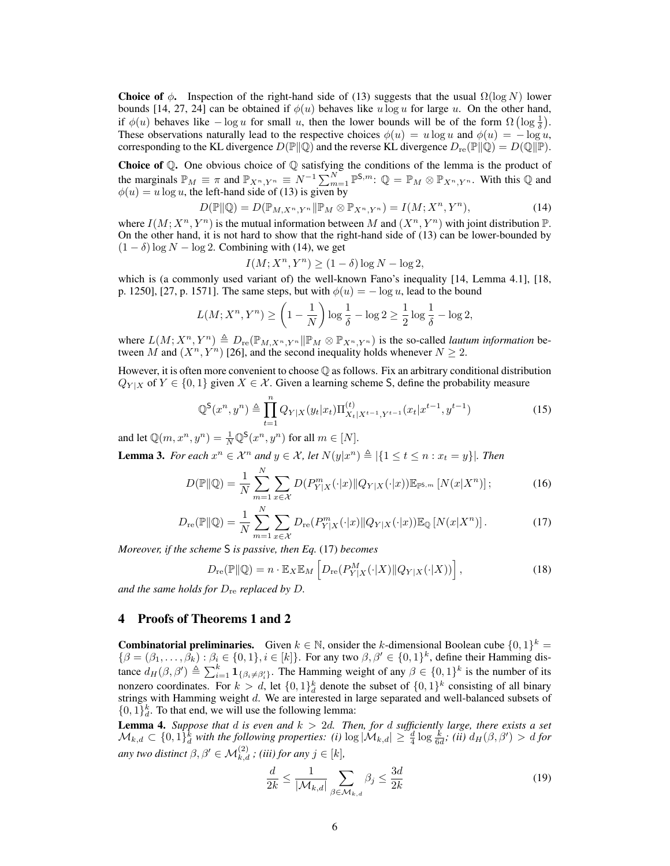**Choice of**  $\phi$ **.** Inspection of the right-hand side of (13) suggests that the usual  $\Omega(\log N)$  lower bounds [14, 27, 24] can be obtained if  $\phi(u)$  behaves like u log u for large u. On the other hand, if  $\phi(u)$  behaves like  $-\log u$  for small u, then the lower bounds will be of the form  $\Omega\left(\log\frac{1}{\delta}\right)$ . These observations naturally lead to the respective choices  $\phi(u) = u \log u$  and  $\phi(u) = - \log u$ , corresponding to the KL divergence  $D(\mathbb{P} \| \mathbb{Q})$  and the reverse KL divergence  $D_{\text{re}}(\mathbb{P} \| \mathbb{Q}) = D(\mathbb{Q} \| \mathbb{P})$ .

**Choice of Q.** One obvious choice of Q satisfying the conditions of the lemma is the product of the marginals  $\mathbb{P}_M \equiv \pi$  and  $\mathbb{P}_{X^n, Y^n} \equiv N^{-1} \sum_{m=1}^N \mathbb{P}^{S,m}$ :  $\mathbb{Q} = \mathbb{P}_M \otimes \mathbb{P}_{X^n, Y^n}$ . With this  $\mathbb{Q}$  and  $\phi(u) = u \log u$ , the left-hand side of (13) is given by

$$
D(\mathbb{P} \| \mathbb{Q}) = D(\mathbb{P}_{M, X^n, Y^n} \| \mathbb{P}_M \otimes \mathbb{P}_{X^n, Y^n}) = I(M; X^n, Y^n),
$$
\n(14)

where  $I(M; X^n, Y^n)$  is the mutual information between M and  $(X^n, Y^n)$  with joint distribution  $\mathbb{P}$ . On the other hand, it is not hard to show that the right-hand side of (13) can be lower-bounded by  $(1 - \delta) \log N - \log 2$ . Combining with (14), we get

$$
I(M; X^n, Y^n) \ge (1 - \delta) \log N - \log 2,
$$

which is (a commonly used variant of) the well-known Fano's inequality [14, Lemma 4.1], [18, p. 1250], [27, p. 1571]. The same steps, but with  $\phi(u) = -\log u$ , lead to the bound

$$
L(M; X^n, Y^n) \ge \left(1 - \frac{1}{N}\right) \log \frac{1}{\delta} - \log 2 \ge \frac{1}{2} \log \frac{1}{\delta} - \log 2,
$$

where  $L(M; X^n, Y^n) \triangleq D_{\text{re}}(\mathbb{P}_{M,X^n,Y^n} \| \mathbb{P}_M \otimes \mathbb{P}_{X^n,Y^n})$  is the so-called *lautum information* between M and  $(X^n, Y^n)$  [26], and the second inequality holds whenever  $N \geq 2$ .

However, it is often more convenient to choose Q as follows. Fix an arbitrary conditional distribution  $Q_{Y|X}$  of  $Y \in \{0,1\}$  given  $X \in \mathcal{X}$ . Given a learning scheme S, define the probability measure

$$
\mathbb{Q}^{\mathsf{S}}(x^n, y^n) \triangleq \prod_{t=1}^n Q_{Y|X}(y_t|x_t) \Pi_{X_t|X^{t-1}, Y^{t-1}}^{(t)}(x_t|x^{t-1}, y^{t-1}) \tag{15}
$$

and let  $\mathbb{Q}(m, x^n, y^n) = \frac{1}{N} \mathbb{Q}^{\mathsf{S}}(x^n, y^n)$  for all  $m \in [N]$ .

**Lemma 3.** For each  $x^n \in \mathcal{X}^n$  and  $y \in \mathcal{X}$ , let  $N(y|x^n) \triangleq |\{1 \le t \le n : x_t = y\}|$ . Then

$$
D(\mathbb{P} \| \mathbb{Q}) = \frac{1}{N} \sum_{m=1}^{N} \sum_{x \in \mathcal{X}} D(P_{Y|X}^{m}(\cdot | x) \| Q_{Y|X}(\cdot | x)) \mathbb{E}_{\mathbb{P}^{S,m}} \left[ N(x|X^{n}) \right];
$$
 (16)

$$
D_{\rm re}(\mathbb{P} \| \mathbb{Q}) = \frac{1}{N} \sum_{m=1}^{N} \sum_{x \in \mathcal{X}} D_{\rm re}(P_{Y|X}^{m}(\cdot|x) \| Q_{Y|X}(\cdot|x)) \mathbb{E}_{\mathbb{Q}} \left[ N(x|X^{n}) \right]. \tag{17}
$$

*Moreover, if the scheme* S *is passive, then Eq.* (17) *becomes*

$$
D_{\rm re}(\mathbb{P} \| \mathbb{Q}) = n \cdot \mathbb{E}_X \mathbb{E}_M \left[ D_{\rm re}(P_{Y|X}^M(\cdot|X) \| Q_{Y|X}(\cdot|X)) \right],\tag{18}
$$

*and the same holds for*  $D_{\text{re}}$  *replaced by*  $D$ *.* 

# 4 Proofs of Theorems 1 and 2

**Combinatorial preliminaries.** Given  $k \in \mathbb{N}$ , onsider the k-dimensional Boolean cube  $\{0, 1\}^k =$  $\{\beta = (\beta_1,\ldots,\hat{\beta_k}) : \beta_i \in \{0,1\}, i \in [k]\}.$  For any two  $\beta, \beta' \in \{0,1\}^k$ , define their Hamming distance  $d_H(\beta, \beta') \triangleq \sum_{i=1}^k \mathbf{1}_{\{\beta_i \neq \beta'_i\}}$ . The Hamming weight of any  $\beta \in \{0, 1\}^k$  is the number of its nonzero coordinates. For  $k > d$ , let  $\{0,1\}^k_d$  denote the subset of  $\{0,1\}^k$  consisting of all binary strings with Hamming weight d. We are interested in large separated and well-balanced subsets of  $\{0, 1\}^k_d$ . To that end, we will use the following lemma:

Lemma 4. *Suppose that* d *is even and* k > 2d*. Then, for* d *sufficiently large, there exists a set*  $\mathcal{M}_{k,d}\subset\{0,1\}^k_d$  with the following properties: (i)  $\log|\mathcal{M}_{k,d}|\geq \frac{d}{4}\log\frac{k}{6d}$ ; (ii)  $d_H(\beta,\beta')>d$  for *any two distinct*  $\beta, \beta' \in \mathcal{M}_{k,d}^{(2)}$  *; (iii) for any*  $j \in [k]$ *,* 

$$
\frac{d}{2k} \le \frac{1}{|\mathcal{M}_{k,d}|} \sum_{\beta \in \mathcal{M}_{k,d}} \beta_j \le \frac{3d}{2k} \tag{19}
$$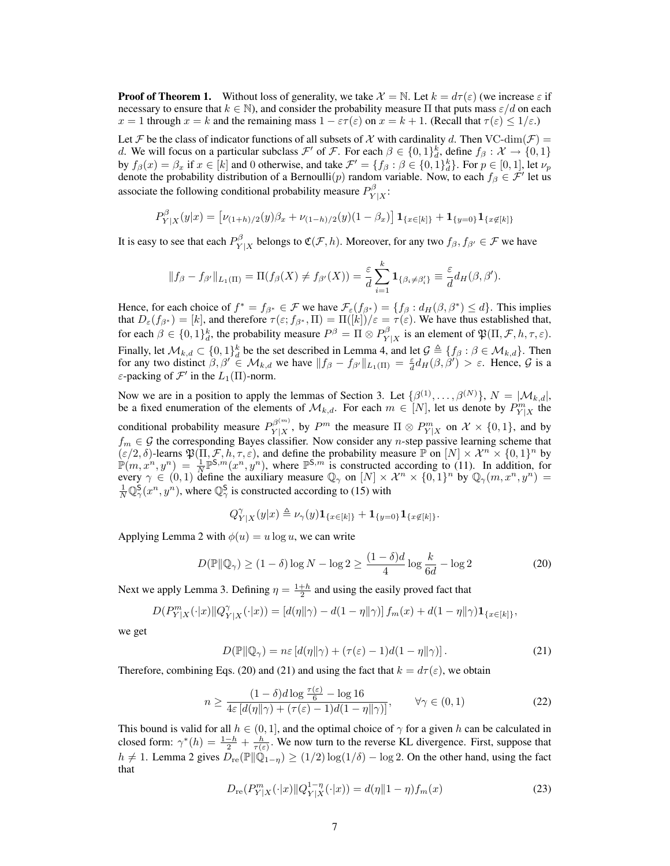**Proof of Theorem 1.** Without loss of generality, we take  $\mathcal{X} = \mathbb{N}$ . Let  $k = d\tau(\varepsilon)$  (we increase  $\varepsilon$  if necessary to ensure that  $k \in \mathbb{N}$ , and consider the probability measure  $\Pi$  that puts mass  $\varepsilon/d$  on each  $x = 1$  through  $x = k$  and the remaining mass  $1 - \varepsilon \tau(\varepsilon)$  on  $x = k + 1$ . (Recall that  $\tau(\varepsilon) \leq 1/\varepsilon$ .)

Let F be the class of indicator functions of all subsets of X with cardinality d. Then VC-dim( $\mathcal{F}$ ) = d. We will focus on a particular subclass  $\mathcal{F}'$  of  $\mathcal{F}$ . For each  $\beta \in \{0,1\}^k_d$ , define  $f_\beta: \mathcal{X} \to \{0,1\}$ by  $f_\beta(x) = \beta_x$  if  $x \in [k]$  and 0 otherwise, and take  $\mathcal{F}' = \{f_\beta : \beta \in \{0,1\}^k_d\}$ . For  $p \in [0,1]$ , let  $\nu_p$ denote the probability distribution of a Bernoulli $(p)$  random variable. Now, to each  $f_\beta \in \mathcal{F}'$  let us associate the following conditional probability measure  $P_Y^{\beta}$  $Y|X$ :

$$
P_{Y|X}^{\beta}(y|x) = \left[\nu_{(1+h)/2}(y)\beta_x + \nu_{(1-h)/2}(y)(1-\beta_x)\right] \mathbf{1}_{\{x \in [k]\}} + \mathbf{1}_{\{y=0\}} \mathbf{1}_{\{x \notin [k]\}}
$$

It is easy to see that each  $P_{V}^{\beta}$  $Y|X \to Y|X$  belongs to  $\mathfrak{C}(\mathcal{F}, h)$ . Moreover, for any two  $f_{\beta}, f_{\beta'} \in \mathcal{F}$  we have

$$
||f_{\beta}-f_{\beta'}||_{L_1(\Pi)}=\Pi(f_{\beta}(X)\neq f_{\beta'}(X))=\frac{\varepsilon}{d}\sum_{i=1}^k\mathbf{1}_{\{\beta_i\neq\beta'_i\}}\equiv\frac{\varepsilon}{d}d_H(\beta,\beta').
$$

Hence, for each choice of  $f^* = f_{\beta^*} \in \mathcal{F}$  we have  $\mathcal{F}_{\varepsilon}(f_{\beta^*}) = \{f_{\beta} : d_H(\beta, \beta^*) \leq d\}$ . This implies that  $D_{\varepsilon}(f_{\beta^*}) = [k]$ , and therefore  $\tau(\varepsilon; f_{\beta^*}, \Pi) = \Pi([k]) / \varepsilon = \tau(\varepsilon)$ . We have thus established that, for each  $\beta \in \{0,1\}^k_d$ , the probability measure  $P^{\beta} = \Pi \otimes P^{\beta}_Y$  $Y|X \to Y|X$  is an element of  $\mathfrak{P}(\Pi, \mathcal{F}, h, \tau, \varepsilon)$ . Finally, let  $\mathcal{M}_{k,d} \subset \{0,1\}^k_d$  be the set described in Lemma 4, and let  $\mathcal{G} \triangleq \{f_\beta : \beta \in \mathcal{M}_{k,d}\}$ . Then for any two distinct  $\beta, \beta' \in M_{k,d}$  we have  $||f_\beta - f_{\beta'}||_{L_1(\Pi)} = \frac{\varepsilon}{d} d_H(\beta, \beta') > \varepsilon$ . Hence,  $\mathcal G$  is a  $\varepsilon$ -packing of  $\mathcal{F}'$  in the  $L_1(\Pi)$ -norm.

Now we are in a position to apply the lemmas of Section 3. Let  $\{\beta^{(1)}, \dots, \beta^{(N)}\}, N = |\mathcal{M}_{k,d}|$ , be a fixed enumeration of the elements of  $\mathcal{M}_{k,d}$ . For each  $m \in [N]$ , let us denote by  $P^m_{Y|X}$  the conditional probability measure  $P_{Y|X}^{\beta^{(m)}}$  $Y|X \n Y|X$ , by  $P^m$  the measure  $\Pi \otimes P_{Y|X}^m$  on  $\mathcal{X} \times \{0,1\}$ , and by  $f_m \in \mathcal{G}$  the corresponding Bayes classifier. Now consider any n-step passive learning scheme that  $(\varepsilon/2, \delta)$ -learns  $\mathfrak{P}(\Pi, \mathcal{F}, h, \tau, \varepsilon)$ , and define the probability measure  $\mathbb{P}$  on  $[N] \times \mathcal{X}^n \times \{0, 1\}^n$  by  $\mathbb{P}(m, x^n, y^n) = \frac{1}{N} \mathbb{P}^{S,m}(x^n, y^n)$ , where  $\mathbb{P}^{S,m}$  is constructed according to (11). In addition, for every  $\gamma \in (0,1)$  define the auxiliary measure  $\mathbb{Q}_{\gamma}$  on  $[N] \times \mathcal{X}^n \times \{0,1\}^n$  by  $\mathbb{Q}_{\gamma}(m, x^n, y^n) =$  $\frac{1}{N}\mathbb{Q}^{\mathsf{S}}_{\gamma}(x^n, y^n)$ , where  $\mathbb{Q}^{\mathsf{S}}_{\gamma}$  is constructed according to (15) with

$$
Q_{Y|X}^{\gamma}(y|x) \triangleq \nu_{\gamma}(y)\mathbf{1}_{\{x\in[k]\}} + \mathbf{1}_{\{y=0\}}\mathbf{1}_{\{x\not\in[k]\}}.
$$

Applying Lemma 2 with  $\phi(u) = u \log u$ , we can write

$$
D(\mathbb{P}||\mathbb{Q}_{\gamma}) \ge (1 - \delta) \log N - \log 2 \ge \frac{(1 - \delta)d}{4} \log \frac{k}{6d} - \log 2 \tag{20}
$$

Next we apply Lemma 3. Defining  $\eta = \frac{1+h}{2}$  and using the easily proved fact that

$$
D(P_{Y|X}^{m}(\cdot|x)||Q_{Y|X}^{\gamma}(\cdot|x)) = [d(\eta||\gamma) - d(1 - \eta||\gamma)]f_m(x) + d(1 - \eta||\gamma)\mathbf{1}_{\{x \in [k]\}},
$$

we get

$$
D(\mathbb{P}||\mathbb{Q}_{\gamma}) = n\varepsilon \left[ d(\eta||\gamma) + (\tau(\varepsilon) - 1)d(1 - \eta||\gamma) \right]. \tag{21}
$$

Therefore, combining Eqs. (20) and (21) and using the fact that  $k = d\tau(\varepsilon)$ , we obtain

$$
n \ge \frac{(1-\delta)d\log\frac{\tau(\varepsilon)}{6} - \log 16}{4\varepsilon \left[ d(\eta||\gamma) + (\tau(\varepsilon) - 1)d(1 - \eta||\gamma) \right]}, \qquad \forall \gamma \in (0, 1)
$$
 (22)

This bound is valid for all  $h \in (0, 1]$ , and the optimal choice of  $\gamma$  for a given h can be calculated in closed form:  $\gamma^*(h) = \frac{1-h}{2} + \frac{h}{\tau(\varepsilon)}$ . We now turn to the reverse KL divergence. First, suppose that  $h \neq 1$ . Lemma 2 gives  $D_{\text{re}}(\mathbb{P} \| \widetilde{\mathbb{Q}}_{1-\eta}) \geq (1/2) \log(1/\delta) - \log 2$ . On the other hand, using the fact that

$$
D_{\rm re}(P_{Y|X}^{m}(\cdot|x)\|Q_{Y|X}^{1-\eta}(\cdot|x)) = d(\eta\|1-\eta)f_m(x)
$$
\n(23)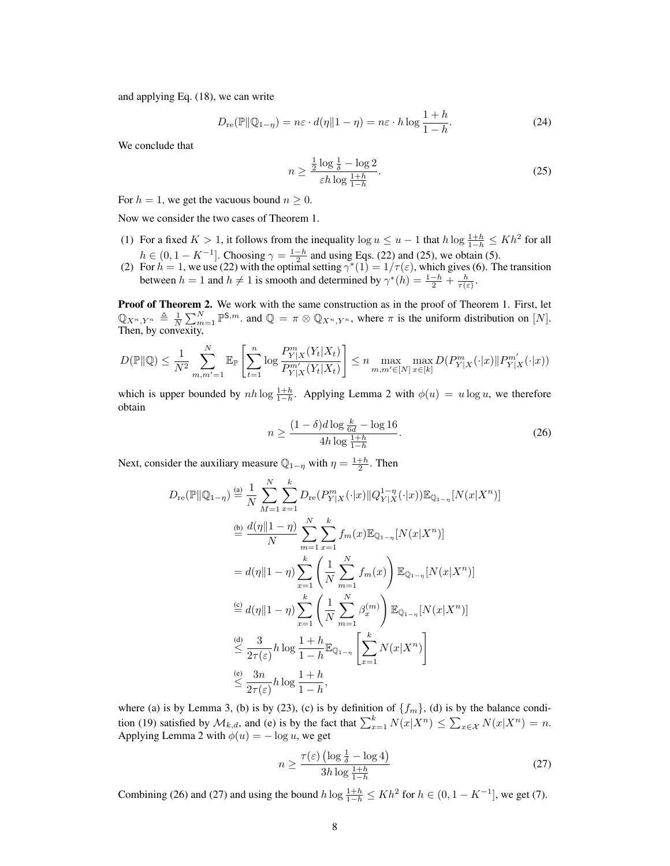and applying Eq. (18), we can write

$$
D_{\rm re}(\mathbb{P}||\mathbb{Q}_{1-\eta}) = n\varepsilon \cdot d(\eta||1-\eta) = n\varepsilon \cdot h \log \frac{1+h}{1-h}.\tag{24}
$$

We conclude that

$$
n \ge \frac{\frac{1}{2}\log\frac{1}{\delta} - \log 2}{\varepsilon h \log\frac{1+h}{1-h}}.\tag{25}
$$

For  $h = 1$ , we get the vacuous bound  $n \geq 0$ .

Now we consider the two cases of Theorem 1.

- (1) For a fixed  $K > 1$ , it follows from the inequality  $\log u \leq u 1$  that  $h \log \frac{1+h}{1-h} \leq Kh^2$  for all  $h \in (0, 1 - K^{-1}]$ . Choosing  $\gamma = \frac{1-h}{2}$  and using Eqs. (22) and (25), we obtain (5).
- (2) For  $h = 1$ , we use (22) with the optimal setting  $\gamma^*(1) = 1/\tau(\varepsilon)$ , which gives (6). The transition between  $h = 1$  and  $h \neq 1$  is smooth and determined by  $\gamma^*(h) = \frac{1-h}{2} + \frac{h}{\tau(\varepsilon)}$ .

**Proof of Theorem 2.** We work with the same construction as in the proof of Theorem 1. First, let  $\mathbb{Q}_{X^n, Y^n} \triangleq \frac{1}{N} \sum_{m=1}^N \mathbb{P}^{S,m}$ . and  $\mathbb{Q} = \pi \otimes \mathbb{Q}_{X^n, Y^n}$ , where  $\pi$  is the uniform distribution on  $[N]$ . Then, by convexity,

$$
D(\mathbb{P} \| \mathbb{Q}) \leq \frac{1}{N^2} \sum_{m,m'=1}^{N} \mathbb{E}_{\mathbb{P}} \left[ \sum_{t=1}^{n} \log \frac{P_{Y|X}^m(Y_t|X_t)}{P_{Y|X}^{m'}(Y_t|X_t)} \right] \leq n \max_{m,m' \in [N]} \max_{x \in [k]} D(P_{Y|X}^m(\cdot|x) \| P_{Y|X}^{m'}(\cdot|x))
$$

which is upper bounded by  $nh \log \frac{1+h}{1-h}$ . Applying Lemma 2 with  $\phi(u) = u \log u$ , we therefore obtain

$$
n \ge \frac{(1-\delta)d\log\frac{k}{6d} - \log 16}{4h\log\frac{1+h}{1-h}}.\tag{26}
$$

Next, consider the auxiliary measure  $\mathbb{Q}_{1-\eta}$  with  $\eta = \frac{1+h}{2}$ . Then

$$
D_{\rm re}(\mathbb{P}||\mathbb{Q}_{1-\eta}) \stackrel{\text{(a)}}{=} \frac{1}{N} \sum_{M=1}^{N} \sum_{x=1}^{k} D_{\rm re}(P_{Y|X}^{m}(\cdot|x) || Q_{Y|X}^{1-\eta}(\cdot|x)) \mathbb{E}_{\mathbb{Q}_{1-\eta}}[N(x|X^{n})]
$$
  
\n
$$
\stackrel{\text{(b)}}{=} \frac{d(\eta||1-\eta)}{N} \sum_{m=1}^{N} \sum_{x=1}^{k} f_m(x) \mathbb{E}_{\mathbb{Q}_{1-\eta}}[N(x|X^{n})]
$$
  
\n
$$
= d(\eta||1-\eta) \sum_{x=1}^{k} \left(\frac{1}{N} \sum_{m=1}^{N} f_m(x)\right) \mathbb{E}_{\mathbb{Q}_{1-\eta}}[N(x|X^{n})]
$$
  
\n
$$
\stackrel{\text{(c)}}{=} d(\eta||1-\eta) \sum_{x=1}^{k} \left(\frac{1}{N} \sum_{m=1}^{N} \beta_{x}^{(m)}\right) \mathbb{E}_{\mathbb{Q}_{1-\eta}}[N(x|X^{n})]
$$
  
\n
$$
\stackrel{\text{(d)}}{\leq} \frac{3}{2\tau(\varepsilon)} h \log \frac{1+h}{1-h} \mathbb{E}_{\mathbb{Q}_{1-\eta}}\left[\sum_{x=1}^{k} N(x|X^{n})\right]
$$
  
\n
$$
\stackrel{\text{(e)}}{=} \frac{3n}{2\tau(\varepsilon)} h \log \frac{1+h}{1-h},
$$

where (a) is by Lemma 3, (b) is by (23), (c) is by definition of  $\{f_m\}$ , (d) is by the balance condition (19) satisfied by  $\mathcal{M}_{k,d}$ , and (e) is by the fact that  $\sum_{x=1}^{k} N(x|X^n) \leq \sum_{x \in \mathcal{X}} N(x|X^n) = n$ . Applying Lemma 2 with  $\phi(u) = -\log u$ , we get

$$
n \ge \frac{\tau(\varepsilon) \left( \log \frac{1}{\delta} - \log 4 \right)}{3h \log \frac{1+h}{1-h}}
$$
\n(27)

Combining (26) and (27) and using the bound  $h \log \frac{1+h}{1-h} \le Kh^2$  for  $h \in (0, 1 - K^{-1}]$ , we get (7).